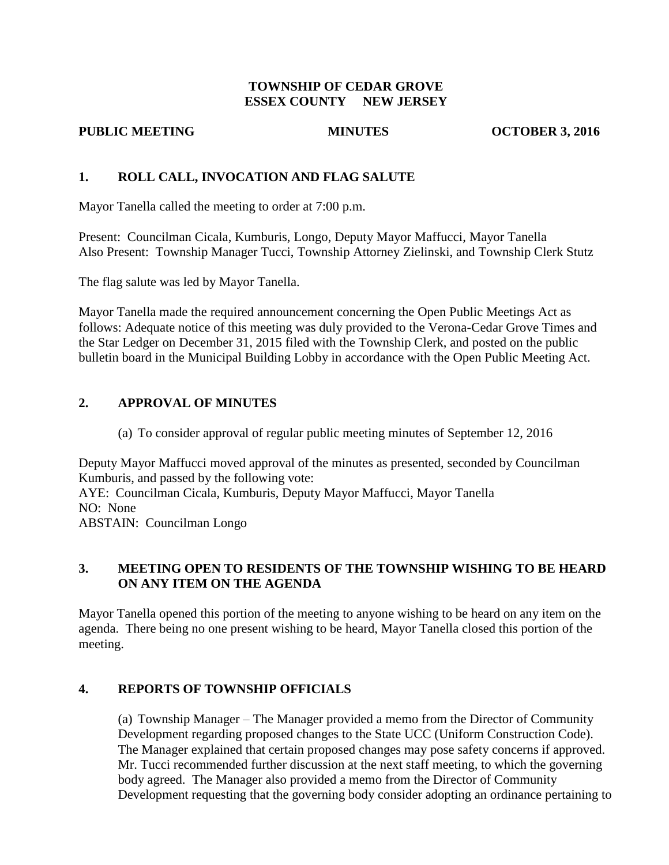### **TOWNSHIP OF CEDAR GROVE ESSEX COUNTY NEW JERSEY**

### **PUBLIC MEETING MINUTES OCTOBER 3, 2016**

# **1. ROLL CALL, INVOCATION AND FLAG SALUTE**

Mayor Tanella called the meeting to order at 7:00 p.m.

Present: Councilman Cicala, Kumburis, Longo, Deputy Mayor Maffucci, Mayor Tanella Also Present: Township Manager Tucci, Township Attorney Zielinski, and Township Clerk Stutz

The flag salute was led by Mayor Tanella.

Mayor Tanella made the required announcement concerning the Open Public Meetings Act as follows: Adequate notice of this meeting was duly provided to the Verona-Cedar Grove Times and the Star Ledger on December 31, 2015 filed with the Township Clerk, and posted on the public bulletin board in the Municipal Building Lobby in accordance with the Open Public Meeting Act.

# **2. APPROVAL OF MINUTES**

(a) To consider approval of regular public meeting minutes of September 12, 2016

Deputy Mayor Maffucci moved approval of the minutes as presented, seconded by Councilman Kumburis, and passed by the following vote:

AYE: Councilman Cicala, Kumburis, Deputy Mayor Maffucci, Mayor Tanella NO: None

ABSTAIN: Councilman Longo

# **3. MEETING OPEN TO RESIDENTS OF THE TOWNSHIP WISHING TO BE HEARD ON ANY ITEM ON THE AGENDA**

Mayor Tanella opened this portion of the meeting to anyone wishing to be heard on any item on the agenda. There being no one present wishing to be heard, Mayor Tanella closed this portion of the meeting.

### **4. REPORTS OF TOWNSHIP OFFICIALS**

(a) Township Manager – The Manager provided a memo from the Director of Community Development regarding proposed changes to the State UCC (Uniform Construction Code). The Manager explained that certain proposed changes may pose safety concerns if approved. Mr. Tucci recommended further discussion at the next staff meeting, to which the governing body agreed. The Manager also provided a memo from the Director of Community Development requesting that the governing body consider adopting an ordinance pertaining to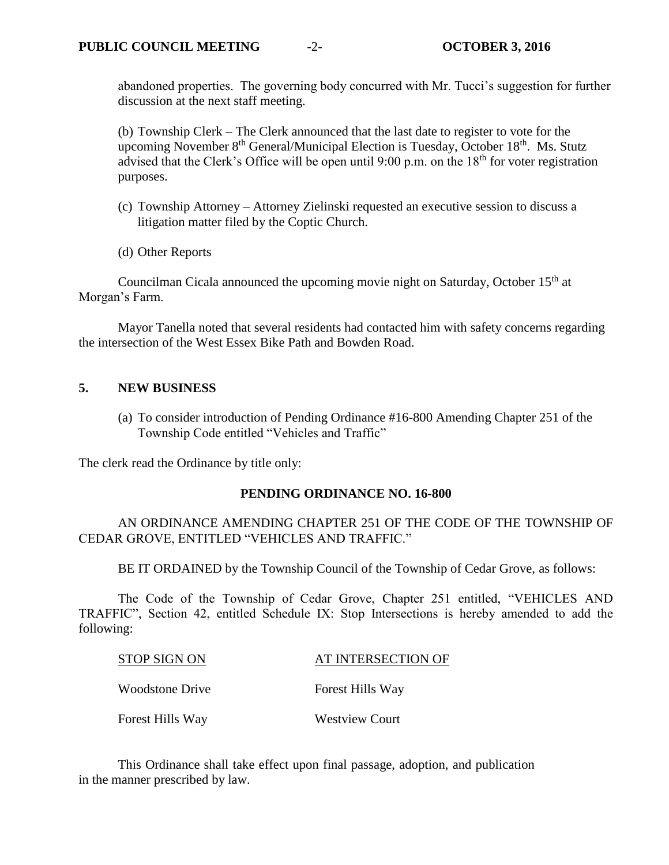abandoned properties. The governing body concurred with Mr. Tucci's suggestion for further discussion at the next staff meeting.

(b) Township Clerk – The Clerk announced that the last date to register to vote for the upcoming November  $8<sup>th</sup>$  General/Municipal Election is Tuesday, October 18<sup>th</sup>. Ms. Stutz advised that the Clerk's Office will be open until 9:00 p.m. on the 18<sup>th</sup> for voter registration purposes.

- (c) Township Attorney Attorney Zielinski requested an executive session to discuss a litigation matter filed by the Coptic Church.
- (d) Other Reports

Councilman Cicala announced the upcoming movie night on Saturday, October 15<sup>th</sup> at Morgan's Farm.

Mayor Tanella noted that several residents had contacted him with safety concerns regarding the intersection of the West Essex Bike Path and Bowden Road.

# **5. NEW BUSINESS**

(a) To consider introduction of Pending Ordinance #16-800 Amending Chapter 251 of the Township Code entitled "Vehicles and Traffic"

The clerk read the Ordinance by title only:

### **PENDING ORDINANCE NO. 16-800**

AN ORDINANCE AMENDING CHAPTER 251 OF THE CODE OF THE TOWNSHIP OF CEDAR GROVE, ENTITLED "VEHICLES AND TRAFFIC."

BE IT ORDAINED by the Township Council of the Township of Cedar Grove, as follows:

The Code of the Township of Cedar Grove, Chapter 251 entitled, "VEHICLES AND TRAFFIC", Section 42, entitled Schedule IX: Stop Intersections is hereby amended to add the following:

| STOP SIGN ON     | AT INTERSECTION OF    |
|------------------|-----------------------|
| Woodstone Drive  | Forest Hills Way      |
| Forest Hills Way | <b>Westview Court</b> |

This Ordinance shall take effect upon final passage, adoption, and publication in the manner prescribed by law.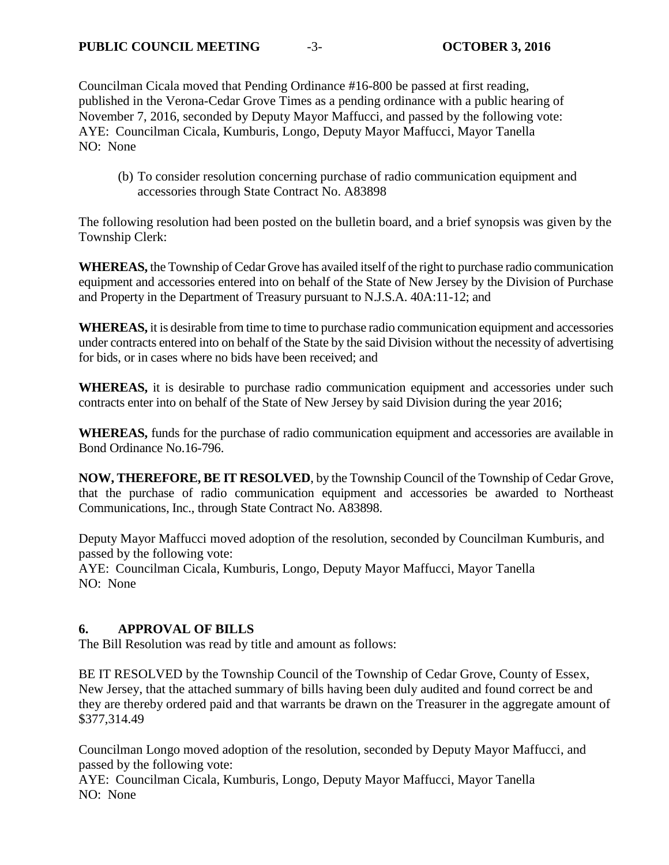Councilman Cicala moved that Pending Ordinance #16-800 be passed at first reading, published in the Verona-Cedar Grove Times as a pending ordinance with a public hearing of November 7, 2016, seconded by Deputy Mayor Maffucci, and passed by the following vote: AYE: Councilman Cicala, Kumburis, Longo, Deputy Mayor Maffucci, Mayor Tanella NO: None

(b) To consider resolution concerning purchase of radio communication equipment and accessories through State Contract No. A83898

The following resolution had been posted on the bulletin board, and a brief synopsis was given by the Township Clerk:

**WHEREAS,** the Township of Cedar Grove has availed itself of the right to purchase radio communication equipment and accessories entered into on behalf of the State of New Jersey by the Division of Purchase and Property in the Department of Treasury pursuant to N.J.S.A. 40A:11-12; and

**WHEREAS,** it is desirable from time to time to purchase radio communication equipment and accessories under contracts entered into on behalf of the State by the said Division without the necessity of advertising for bids, or in cases where no bids have been received; and

**WHEREAS,** it is desirable to purchase radio communication equipment and accessories under such contracts enter into on behalf of the State of New Jersey by said Division during the year 2016;

**WHEREAS,** funds for the purchase of radio communication equipment and accessories are available in Bond Ordinance No.16-796.

**NOW, THEREFORE, BE IT RESOLVED**, by the Township Council of the Township of Cedar Grove, that the purchase of radio communication equipment and accessories be awarded to Northeast Communications, Inc., through State Contract No. A83898.

Deputy Mayor Maffucci moved adoption of the resolution, seconded by Councilman Kumburis, and passed by the following vote:

AYE: Councilman Cicala, Kumburis, Longo, Deputy Mayor Maffucci, Mayor Tanella NO: None

# **6. APPROVAL OF BILLS**

The Bill Resolution was read by title and amount as follows:

BE IT RESOLVED by the Township Council of the Township of Cedar Grove, County of Essex, New Jersey, that the attached summary of bills having been duly audited and found correct be and they are thereby ordered paid and that warrants be drawn on the Treasurer in the aggregate amount of \$377,314.49

Councilman Longo moved adoption of the resolution, seconded by Deputy Mayor Maffucci, and passed by the following vote:

AYE: Councilman Cicala, Kumburis, Longo, Deputy Mayor Maffucci, Mayor Tanella NO: None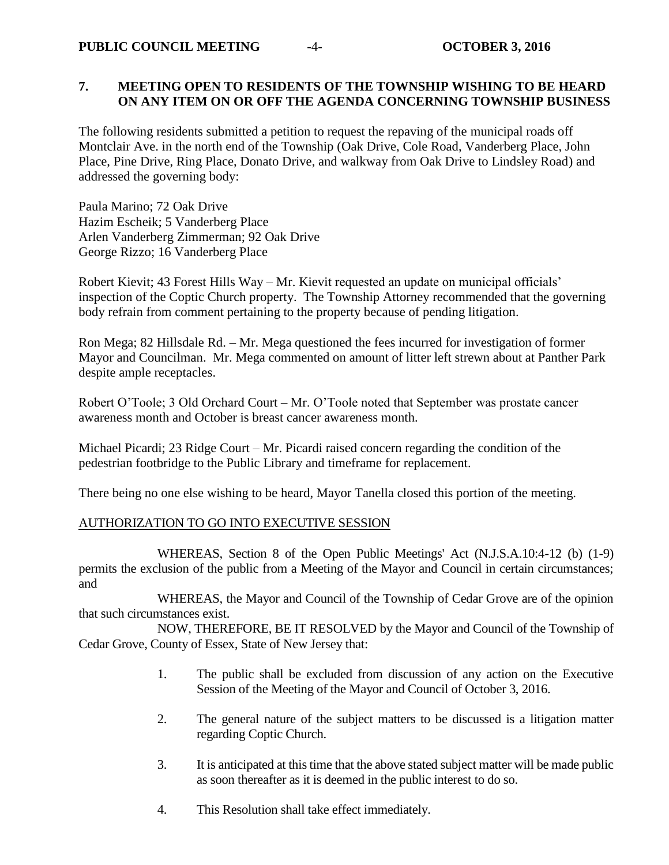# **7. MEETING OPEN TO RESIDENTS OF THE TOWNSHIP WISHING TO BE HEARD ON ANY ITEM ON OR OFF THE AGENDA CONCERNING TOWNSHIP BUSINESS**

The following residents submitted a petition to request the repaving of the municipal roads off Montclair Ave. in the north end of the Township (Oak Drive, Cole Road, Vanderberg Place, John Place, Pine Drive, Ring Place, Donato Drive, and walkway from Oak Drive to Lindsley Road) and addressed the governing body:

Paula Marino; 72 Oak Drive Hazim Escheik; 5 Vanderberg Place Arlen Vanderberg Zimmerman; 92 Oak Drive George Rizzo; 16 Vanderberg Place

Robert Kievit; 43 Forest Hills Way – Mr. Kievit requested an update on municipal officials' inspection of the Coptic Church property. The Township Attorney recommended that the governing body refrain from comment pertaining to the property because of pending litigation.

Ron Mega; 82 Hillsdale Rd. – Mr. Mega questioned the fees incurred for investigation of former Mayor and Councilman. Mr. Mega commented on amount of litter left strewn about at Panther Park despite ample receptacles.

Robert O'Toole; 3 Old Orchard Court – Mr. O'Toole noted that September was prostate cancer awareness month and October is breast cancer awareness month.

Michael Picardi; 23 Ridge Court – Mr. Picardi raised concern regarding the condition of the pedestrian footbridge to the Public Library and timeframe for replacement.

There being no one else wishing to be heard, Mayor Tanella closed this portion of the meeting.

### AUTHORIZATION TO GO INTO EXECUTIVE SESSION

WHEREAS, Section 8 of the Open Public Meetings' Act (N.J.S.A.10:4-12 (b) (1-9) permits the exclusion of the public from a Meeting of the Mayor and Council in certain circumstances; and

WHEREAS, the Mayor and Council of the Township of Cedar Grove are of the opinion that such circumstances exist.

NOW, THEREFORE, BE IT RESOLVED by the Mayor and Council of the Township of Cedar Grove, County of Essex, State of New Jersey that:

- 1. The public shall be excluded from discussion of any action on the Executive Session of the Meeting of the Mayor and Council of October 3, 2016.
- 2. The general nature of the subject matters to be discussed is a litigation matter regarding Coptic Church.
- 3. It is anticipated at this time that the above stated subject matter will be made public as soon thereafter as it is deemed in the public interest to do so.
- 4. This Resolution shall take effect immediately.